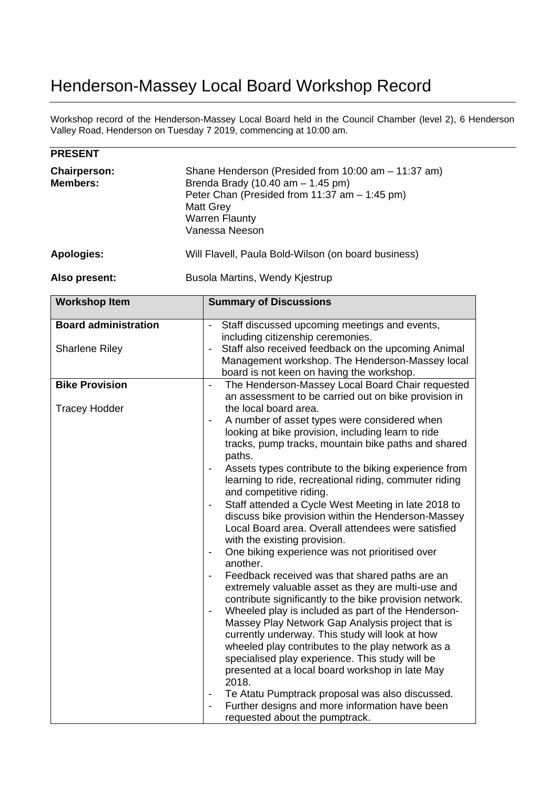## Henderson-Massey Local Board Workshop Record

Workshop record of the Henderson-Massey Local Board held in the Council Chamber (level 2), 6 Henderson Valley Road, Henderson on Tuesday 7 2019, commencing at 10:00 am.

| <b>PRESENT</b>                         |                                                                                                                                                                                                            |  |
|----------------------------------------|------------------------------------------------------------------------------------------------------------------------------------------------------------------------------------------------------------|--|
| <b>Chairperson:</b><br><b>Members:</b> | Shane Henderson (Presided from 10:00 am - 11:37 am)<br>Brenda Brady (10.40 am $-$ 1.45 pm)<br>Peter Chan (Presided from 11:37 am - 1:45 pm)<br><b>Matt Grey</b><br><b>Warren Flaunty</b><br>Vanessa Neeson |  |
| Apologies:                             | Will Flavell, Paula Bold-Wilson (on board business)                                                                                                                                                        |  |
| Also present:                          | Busola Martins, Wendy Kjestrup                                                                                                                                                                             |  |

| <b>Workshop Item</b>                                 | <b>Summary of Discussions</b>                                                                                                                                                                                                                                                                                                                                                                                                                                                                                                                                                                                                                                                                                                                                                                                                                                                                                                                                                                                                                                                                                                                                                                                                                                                                                                                                                                                                                                                                    |
|------------------------------------------------------|--------------------------------------------------------------------------------------------------------------------------------------------------------------------------------------------------------------------------------------------------------------------------------------------------------------------------------------------------------------------------------------------------------------------------------------------------------------------------------------------------------------------------------------------------------------------------------------------------------------------------------------------------------------------------------------------------------------------------------------------------------------------------------------------------------------------------------------------------------------------------------------------------------------------------------------------------------------------------------------------------------------------------------------------------------------------------------------------------------------------------------------------------------------------------------------------------------------------------------------------------------------------------------------------------------------------------------------------------------------------------------------------------------------------------------------------------------------------------------------------------|
| <b>Board administration</b><br><b>Sharlene Riley</b> | Staff discussed upcoming meetings and events,<br>including citizenship ceremonies.<br>Staff also received feedback on the upcoming Animal<br>$\overline{\phantom{a}}$<br>Management workshop. The Henderson-Massey local<br>board is not keen on having the workshop.                                                                                                                                                                                                                                                                                                                                                                                                                                                                                                                                                                                                                                                                                                                                                                                                                                                                                                                                                                                                                                                                                                                                                                                                                            |
| <b>Bike Provision</b>                                | The Henderson-Massey Local Board Chair requested<br>$\blacksquare$                                                                                                                                                                                                                                                                                                                                                                                                                                                                                                                                                                                                                                                                                                                                                                                                                                                                                                                                                                                                                                                                                                                                                                                                                                                                                                                                                                                                                               |
| <b>Tracey Hodder</b>                                 | an assessment to be carried out on bike provision in<br>the local board area.<br>A number of asset types were considered when<br>$\qquad \qquad \blacksquare$<br>looking at bike provision, including learn to ride<br>tracks, pump tracks, mountain bike paths and shared<br>paths.<br>Assets types contribute to the biking experience from<br>$\qquad \qquad \blacksquare$<br>learning to ride, recreational riding, commuter riding<br>and competitive riding.<br>Staff attended a Cycle West Meeting in late 2018 to<br>$\overline{\phantom{a}}$<br>discuss bike provision within the Henderson-Massey<br>Local Board area. Overall attendees were satisfied<br>with the existing provision.<br>One biking experience was not prioritised over<br>$\overline{\phantom{a}}$<br>another.<br>Feedback received was that shared paths are an<br>$\qquad \qquad \blacksquare$<br>extremely valuable asset as they are multi-use and<br>contribute significantly to the bike provision network.<br>Wheeled play is included as part of the Henderson-<br>$\overline{\phantom{a}}$<br>Massey Play Network Gap Analysis project that is<br>currently underway. This study will look at how<br>wheeled play contributes to the play network as a<br>specialised play experience. This study will be<br>presented at a local board workshop in late May<br>2018.<br>Te Atatu Pumptrack proposal was also discussed.<br>Further designs and more information have been<br>$\qquad \qquad \blacksquare$ |
|                                                      | requested about the pumptrack.                                                                                                                                                                                                                                                                                                                                                                                                                                                                                                                                                                                                                                                                                                                                                                                                                                                                                                                                                                                                                                                                                                                                                                                                                                                                                                                                                                                                                                                                   |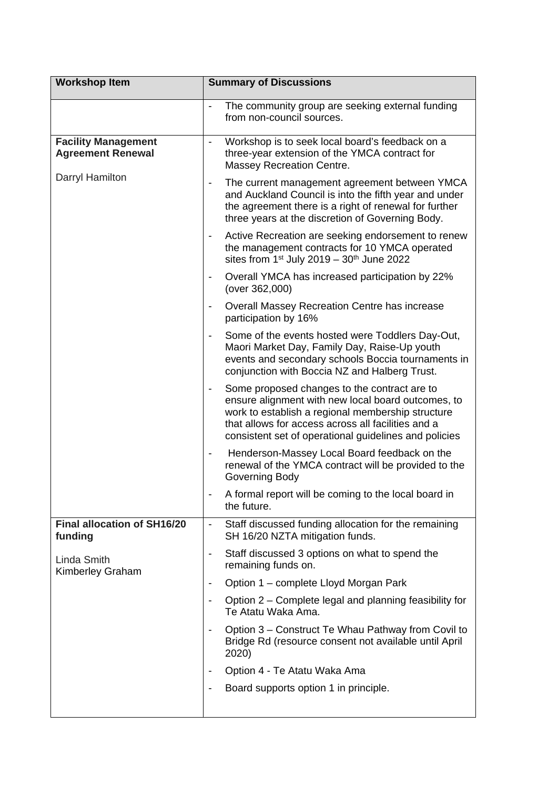| <b>Workshop Item</b>                                   | <b>Summary of Discussions</b>                                                                                                                                                                                                                                          |
|--------------------------------------------------------|------------------------------------------------------------------------------------------------------------------------------------------------------------------------------------------------------------------------------------------------------------------------|
|                                                        | The community group are seeking external funding<br>$\frac{1}{2}$<br>from non-council sources.                                                                                                                                                                         |
| <b>Facility Management</b><br><b>Agreement Renewal</b> | Workshop is to seek local board's feedback on a<br>three-year extension of the YMCA contract for<br><b>Massey Recreation Centre.</b>                                                                                                                                   |
| Darryl Hamilton                                        | The current management agreement between YMCA<br>$\overline{\phantom{a}}$<br>and Auckland Council is into the fifth year and under<br>the agreement there is a right of renewal for further<br>three years at the discretion of Governing Body.                        |
|                                                        | Active Recreation are seeking endorsement to renew<br>the management contracts for 10 YMCA operated<br>sites from $1st$ July 2019 - $30th$ June 2022                                                                                                                   |
|                                                        | Overall YMCA has increased participation by 22%<br>$\qquad \qquad \blacksquare$<br>(over 362,000)                                                                                                                                                                      |
|                                                        | Overall Massey Recreation Centre has increase<br>$\overline{\phantom{a}}$<br>participation by 16%                                                                                                                                                                      |
|                                                        | Some of the events hosted were Toddlers Day-Out,<br>Maori Market Day, Family Day, Raise-Up youth<br>events and secondary schools Boccia tournaments in<br>conjunction with Boccia NZ and Halberg Trust.                                                                |
|                                                        | Some proposed changes to the contract are to<br>ensure alignment with new local board outcomes, to<br>work to establish a regional membership structure<br>that allows for access across all facilities and a<br>consistent set of operational guidelines and policies |
|                                                        | Henderson-Massey Local Board feedback on the<br>renewal of the YMCA contract will be provided to the<br>Governing Body                                                                                                                                                 |
|                                                        | A formal report will be coming to the local board in<br>the future.                                                                                                                                                                                                    |
| <b>Final allocation of SH16/20</b><br>funding          | Staff discussed funding allocation for the remaining<br>$\overline{\phantom{a}}$<br>SH 16/20 NZTA mitigation funds.                                                                                                                                                    |
| Linda Smith<br>Kimberley Graham                        | Staff discussed 3 options on what to spend the<br>$\overline{\phantom{a}}$<br>remaining funds on.                                                                                                                                                                      |
|                                                        | Option 1 – complete Lloyd Morgan Park<br>$\overline{\phantom{a}}$                                                                                                                                                                                                      |
|                                                        | Option 2 – Complete legal and planning feasibility for<br>$\overline{\phantom{a}}$<br>Te Atatu Waka Ama.                                                                                                                                                               |
|                                                        | Option 3 – Construct Te Whau Pathway from Covil to<br>Bridge Rd (resource consent not available until April<br>2020)                                                                                                                                                   |
|                                                        | Option 4 - Te Atatu Waka Ama<br>$\overline{\phantom{a}}$                                                                                                                                                                                                               |
|                                                        | Board supports option 1 in principle.<br>$\overline{\phantom{a}}$                                                                                                                                                                                                      |
|                                                        |                                                                                                                                                                                                                                                                        |